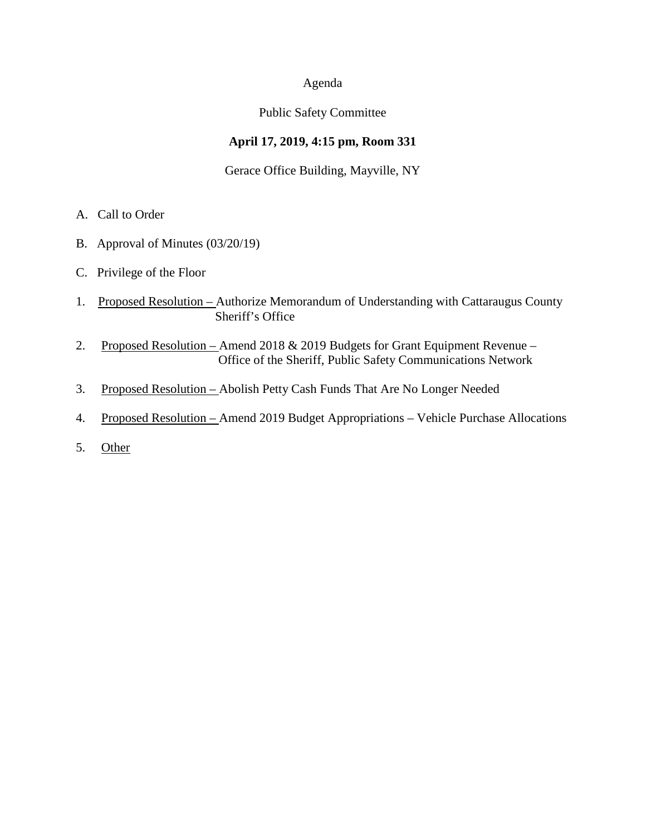### Agenda

## Public Safety Committee

# **April 17, 2019, 4:15 pm, Room 331**

## Gerace Office Building, Mayville, NY

- A. Call to Order
- B. Approval of Minutes (03/20/19)
- C. Privilege of the Floor
- 1. Proposed Resolution Authorize Memorandum of Understanding with Cattaraugus County Sheriff's Office
- 2. Proposed Resolution Amend 2018 & 2019 Budgets for Grant Equipment Revenue Office of the Sheriff, Public Safety Communications Network
- 3. Proposed Resolution Abolish Petty Cash Funds That Are No Longer Needed
- 4. Proposed Resolution Amend 2019 Budget Appropriations Vehicle Purchase Allocations
- 5. Other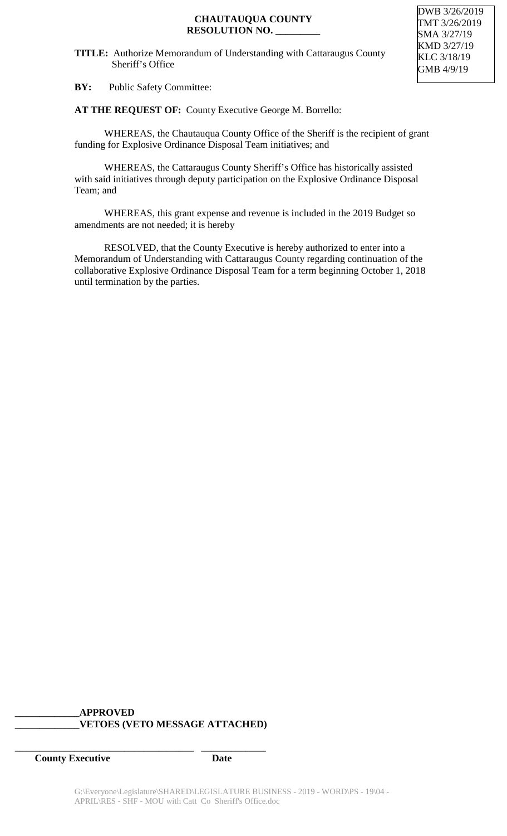#### **TITLE:** Authorize Memorandum of Understanding with Cattaraugus County Sheriff's Office

DWB 3/26/2019 TMT 3/26/2019 SMA 3/27/19 KMD 3/27/19 KLC 3/18/19 GMB 4/9/19

**BY:** Public Safety Committee:

**AT THE REQUEST OF:** County Executive George M. Borrello:

WHEREAS, the Chautauqua County Office of the Sheriff is the recipient of grant funding for Explosive Ordinance Disposal Team initiatives; and

WHEREAS, the Cattaraugus County Sheriff's Office has historically assisted with said initiatives through deputy participation on the Explosive Ordinance Disposal Team; and

WHEREAS, this grant expense and revenue is included in the 2019 Budget so amendments are not needed; it is hereby

RESOLVED, that the County Executive is hereby authorized to enter into a Memorandum of Understanding with Cattaraugus County regarding continuation of the collaborative Explosive Ordinance Disposal Team for a term beginning October 1, 2018 until termination by the parties.

## **\_\_\_\_\_\_\_\_\_\_\_\_\_APPROVED \_\_\_\_\_\_\_\_\_\_\_\_\_VETOES (VETO MESSAGE ATTACHED)**

**\_\_\_\_\_\_\_\_\_\_\_\_\_\_\_\_\_\_\_\_\_\_\_\_\_\_\_\_\_\_\_\_\_\_\_\_ \_\_\_\_\_\_\_\_\_\_\_\_\_**

**County Executive Date**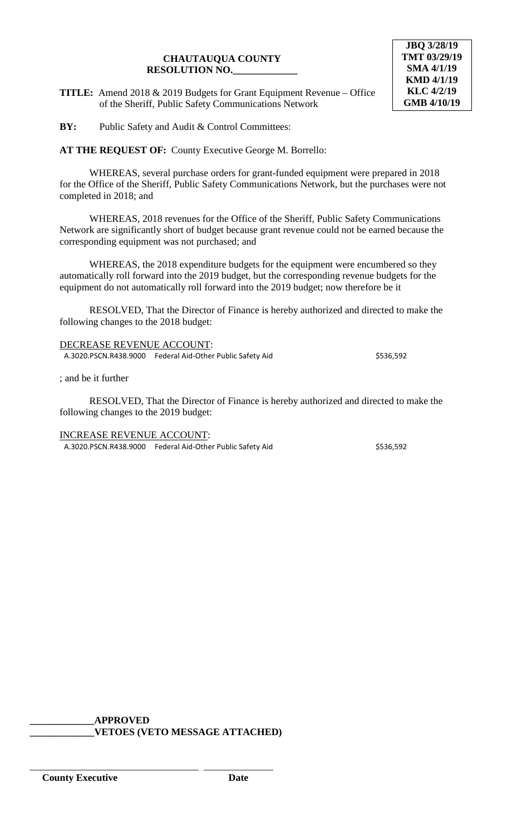#### **CHAUTAUQUA COUNTY RESOLUTION NO.\_\_\_\_\_\_\_\_\_\_\_\_\_**

**TITLE:** Amend 2018 & 2019 Budgets for Grant Equipment Revenue – Office of the Sheriff, Public Safety Communications Network

**JBQ 3/28/19 TMT 03/29/19 SMA 4/1/19 KMD 4/1/19 KLC 4/2/19 GMB 4/10/19**

**BY:** Public Safety and Audit & Control Committees:

**AT THE REQUEST OF:** County Executive George M. Borrello:

WHEREAS, several purchase orders for grant-funded equipment were prepared in 2018 for the Office of the Sheriff, Public Safety Communications Network, but the purchases were not completed in 2018; and

WHEREAS, 2018 revenues for the Office of the Sheriff, Public Safety Communications Network are significantly short of budget because grant revenue could not be earned because the corresponding equipment was not purchased; and

WHEREAS, the 2018 expenditure budgets for the equipment were encumbered so they automatically roll forward into the 2019 budget, but the corresponding revenue budgets for the equipment do not automatically roll forward into the 2019 budget; now therefore be it

RESOLVED, That the Director of Finance is hereby authorized and directed to make the following changes to the 2018 budget:

DECREASE REVENUE ACCOUNT: A.3020.PSCN.R438.9000 Federal Aid-Other Public Safety Aid \$536,592

; and be it further

RESOLVED, That the Director of Finance is hereby authorized and directed to make the following changes to the 2019 budget:

INCREASE REVENUE ACCOUNT: A.3020.PSCN.R438.9000 Federal Aid-Other Public Safety Aid \$536,592

**\_\_\_\_\_\_\_\_\_\_\_\_\_APPROVED \_\_\_\_\_\_\_\_\_\_\_\_\_VETOES (VETO MESSAGE ATTACHED)**

\_\_\_\_\_\_\_\_\_\_\_\_\_\_\_\_\_\_\_\_\_\_\_\_\_\_\_\_\_\_\_\_\_\_ \_\_\_\_\_\_\_\_\_\_\_\_\_\_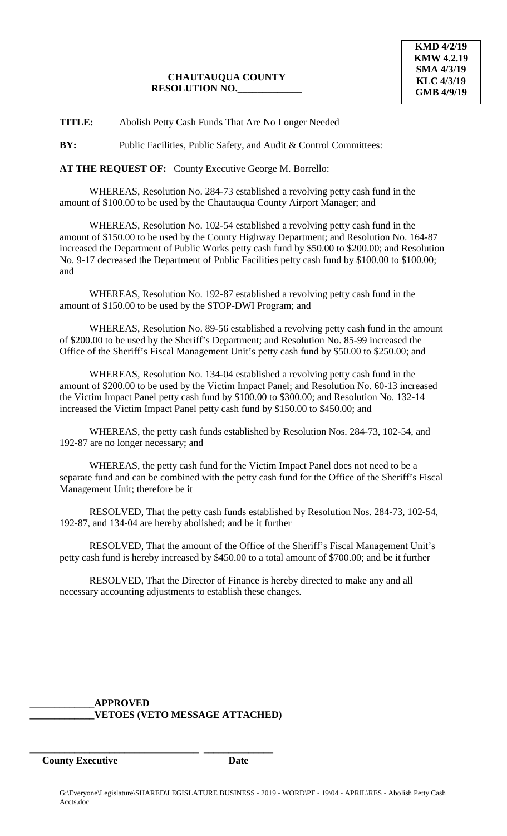## **CHAUTAUQUA COUNTY RESOLUTION NO.\_\_\_\_\_\_\_\_\_\_\_\_\_**

**TITLE:** Abolish Petty Cash Funds That Are No Longer Needed

**BY:** Public Facilities, Public Safety, and Audit & Control Committees:

**AT THE REQUEST OF:** County Executive George M. Borrello:

WHEREAS, Resolution No. 284-73 established a revolving petty cash fund in the amount of \$100.00 to be used by the Chautauqua County Airport Manager; and

WHEREAS, Resolution No. 102-54 established a revolving petty cash fund in the amount of \$150.00 to be used by the County Highway Department; and Resolution No. 164-87 increased the Department of Public Works petty cash fund by \$50.00 to \$200.00; and Resolution No. 9-17 decreased the Department of Public Facilities petty cash fund by \$100.00 to \$100.00; and

WHEREAS, Resolution No. 192-87 established a revolving petty cash fund in the amount of \$150.00 to be used by the STOP-DWI Program; and

WHEREAS, Resolution No. 89-56 established a revolving petty cash fund in the amount of \$200.00 to be used by the Sheriff's Department; and Resolution No. 85-99 increased the Office of the Sheriff's Fiscal Management Unit's petty cash fund by \$50.00 to \$250.00; and

WHEREAS, Resolution No. 134-04 established a revolving petty cash fund in the amount of \$200.00 to be used by the Victim Impact Panel; and Resolution No. 60-13 increased the Victim Impact Panel petty cash fund by \$100.00 to \$300.00; and Resolution No. 132-14 increased the Victim Impact Panel petty cash fund by \$150.00 to \$450.00; and

WHEREAS, the petty cash funds established by Resolution Nos. 284-73, 102-54, and 192-87 are no longer necessary; and

WHEREAS, the petty cash fund for the Victim Impact Panel does not need to be a separate fund and can be combined with the petty cash fund for the Office of the Sheriff's Fiscal Management Unit; therefore be it

RESOLVED, That the petty cash funds established by Resolution Nos. 284-73, 102-54, 192-87, and 134-04 are hereby abolished; and be it further

RESOLVED, That the amount of the Office of the Sheriff's Fiscal Management Unit's petty cash fund is hereby increased by \$450.00 to a total amount of \$700.00; and be it further

RESOLVED, That the Director of Finance is hereby directed to make any and all necessary accounting adjustments to establish these changes.

## **\_\_\_\_\_\_\_\_\_\_\_\_\_APPROVED \_\_\_\_\_\_\_\_\_\_\_\_\_VETOES (VETO MESSAGE ATTACHED)**

\_\_\_\_\_\_\_\_\_\_\_\_\_\_\_\_\_\_\_\_\_\_\_\_\_\_\_\_\_\_\_\_\_\_ \_\_\_\_\_\_\_\_\_\_\_\_\_\_

**County Executive Date**